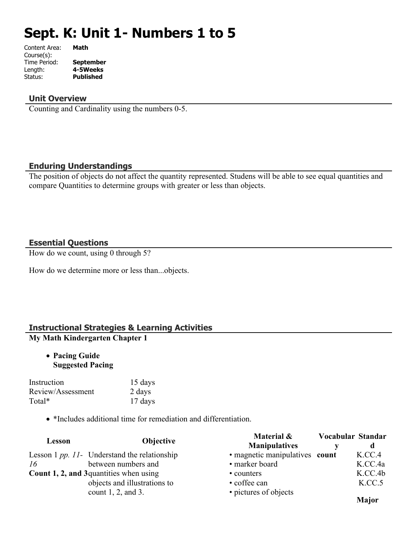# **Sept. K: Unit 1- Numbers 1 to 5**

| Content Area: | <b>Math</b>      |
|---------------|------------------|
| Course(s):    |                  |
| Time Period:  | <b>September</b> |
| Length:       | 4-5Weeks         |
| Status:       | <b>Published</b> |
|               |                  |

#### **Unit Overview**

Counting and Cardinality using the numbers 0-5.

#### **Enduring Understandings**

The position of objects do not affect the quantity represented. Studens will be able to see equal quantities and compare Quantities to determine groups with greater or less than objects.

#### **Essential Questions**

How do we count, using 0 through 5?

How do we determine more or less than...objects.

#### **Instructional Strategies & Learning Activities My Math Kindergarten Chapter 1**

 **Pacing Guide Suggested Pacing**

| Instruction       | 15 days |
|-------------------|---------|
| Review/Assessment | 2 days  |
| Total*            | 17 days |

\*Includes additional time for remediation and differentiation.

|                                         |                                                      | Material &                     | Vocabular Standar |
|-----------------------------------------|------------------------------------------------------|--------------------------------|-------------------|
| Lesson                                  | <b>Objective</b>                                     | <b>Manipulatives</b>           | d                 |
|                                         | Lesson 1 <i>pp. 11</i> - Understand the relationship | · magnetic manipulatives count | K.CC.4            |
| 16                                      | between numbers and                                  | • marker board                 | K.CC.4a           |
| Count 1, 2, and 3 quantities when using |                                                      | • counters                     | K.CC.4b           |
|                                         | objects and illustrations to                         | • coffee can                   | K.CC.5            |
|                                         | count $1, 2$ , and $3$ .                             | • pictures of objects          |                   |
|                                         |                                                      |                                | <b>Major</b>      |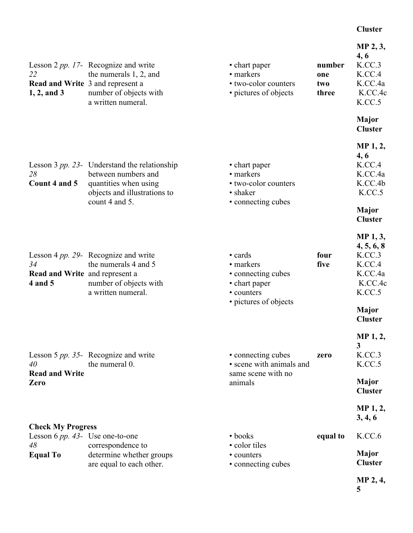#### **Cluster**

| 22<br>$1, 2,$ and 3                                           | Lesson 2 pp. 17- Recognize and write<br>the numerals 1, 2, and<br><b>Read and Write</b> 3 and represent a<br>number of objects with<br>a written numeral. | • chart paper<br>• markers<br>• two-color counters<br>• pictures of objects                              | number<br>one<br>two<br>three | MP 2, 3,<br>4, 6<br>K.CC.3<br>K.CC.4<br>K.CC.4a<br>K.CC.4c<br>K.CC.5                                         |
|---------------------------------------------------------------|-----------------------------------------------------------------------------------------------------------------------------------------------------------|----------------------------------------------------------------------------------------------------------|-------------------------------|--------------------------------------------------------------------------------------------------------------|
|                                                               |                                                                                                                                                           |                                                                                                          |                               | <b>Major</b><br><b>Cluster</b>                                                                               |
| 28<br>Count 4 and 5                                           | Lesson 3 pp. 23- Understand the relationship<br>between numbers and<br>quantities when using<br>objects and illustrations to<br>count 4 and 5.            | • chart paper<br>• markers<br>• two-color counters<br>• shaker<br>• connecting cubes                     |                               | $MP_1, 2,$<br>4, 6<br>K.CC.4<br>K.CC.4a<br>K.CC.4b<br>K.CC.5<br><b>Major</b><br><b>Cluster</b>               |
| 34<br><b>Read and Write</b> and represent a<br>4 and 5        | Lesson 4 <i>pp.</i> 29- Recognize and write<br>the numerals 4 and 5<br>number of objects with<br>a written numeral.                                       | $\cdot$ cards<br>• markers<br>• connecting cubes<br>• chart paper<br>• counters<br>• pictures of objects | four<br>five                  | MP 1, 3,<br>4, 5, 6, 8<br>K.CC.3<br>K.CC.4<br>K.CC.4a<br>K.CC.4c<br>K.CC.5<br><b>Major</b><br><b>Cluster</b> |
| 40<br><b>Read and Write</b><br>Zero                           | Lesson 5 pp. 35- Recognize and write<br>the numeral 0.                                                                                                    | • connecting cubes<br>• scene with animals and<br>same scene with no<br>animals                          | zero                          | MP 1, 2,<br>3<br>K.CC.3<br>K.CC.5<br><b>Major</b><br><b>Cluster</b>                                          |
| <b>Check My Progress</b><br>Lesson 6 $pp.$ 43- Use one-to-one |                                                                                                                                                           | $\bullet$ books                                                                                          | equal to                      | $MP_1, 2,$<br>3, 4, 6<br>K.CC.6                                                                              |
| 48<br><b>Equal To</b>                                         | correspondence to<br>determine whether groups<br>are equal to each other.                                                                                 | • color tiles<br>• counters<br>• connecting cubes                                                        |                               | <b>Major</b><br><b>Cluster</b>                                                                               |
|                                                               |                                                                                                                                                           |                                                                                                          |                               | MP 2, 4,<br>5                                                                                                |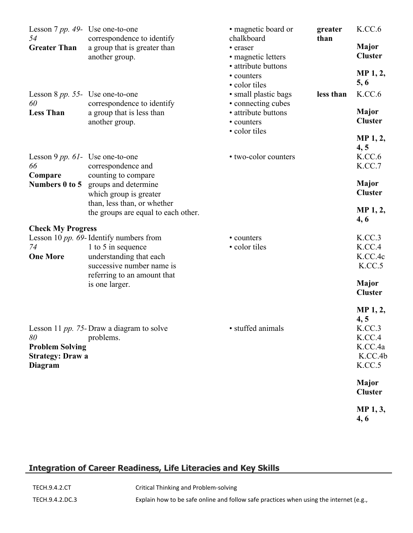| Lesson $7$ pp. 49- Use one-to-one<br>54                                   | correspondence to identify                                                 | • magnetic board or<br>chalkboard                     | greater<br>than | K.CC.6                                                                           |
|---------------------------------------------------------------------------|----------------------------------------------------------------------------|-------------------------------------------------------|-----------------|----------------------------------------------------------------------------------|
| <b>Greater Than</b>                                                       | a group that is greater than<br>another group.                             | • eraser<br>• magnetic letters<br>• attribute buttons |                 | <b>Major</b><br><b>Cluster</b>                                                   |
|                                                                           |                                                                            | • counters<br>• color tiles                           |                 | <b>MP</b> 1, 2,<br>5, 6                                                          |
| Lesson 8 $pp. 55$ - Use one-to-one<br>60                                  | correspondence to identify                                                 | • small plastic bags<br>• connecting cubes            | less than       | K.CC.6                                                                           |
| <b>Less Than</b>                                                          | a group that is less than<br>another group.                                | · attribute buttons<br>• counters<br>· color tiles    |                 | <b>Major</b><br><b>Cluster</b>                                                   |
|                                                                           |                                                                            |                                                       |                 | <b>MP</b> 1, 2,<br>4, 5                                                          |
| Lesson 9 $pp. 61$ - Use one-to-one<br>66<br>Compare                       | correspondence and<br>counting to compare                                  | • two-color counters                                  |                 | K.CC.6<br>K.CC.7                                                                 |
|                                                                           | Numbers 0 to 5 groups and determine<br>which group is greater              |                                                       |                 | <b>Major</b><br><b>Cluster</b>                                                   |
|                                                                           | than, less than, or whether<br>the groups are equal to each other.         |                                                       |                 | MP 1, 2,<br>4,6                                                                  |
| <b>Check My Progress</b>                                                  | Lesson 10 $pp.$ 69-Identify numbers from                                   | • counters                                            |                 | K.CC.3                                                                           |
| 74<br><b>One More</b>                                                     | 1 to 5 in sequence<br>understanding that each<br>successive number name is | • color tiles                                         |                 | K.CC.4<br>K.CC.4c<br>K.CC.5                                                      |
|                                                                           | referring to an amount that<br>is one larger.                              |                                                       |                 | Major<br><b>Cluster</b>                                                          |
| 80<br><b>Problem Solving</b><br><b>Strategy: Draw a</b><br><b>Diagram</b> | Lesson 11 $pp.$ 75-Draw a diagram to solve<br>problems.                    | · stuffed animals                                     |                 | MP <sub>1</sub> , 2,<br>4, 5<br>K.CC.3<br>K.CC.4<br>K.CC.4a<br>K.CC.4b<br>K.CC.5 |
|                                                                           |                                                                            |                                                       |                 | <b>Major</b><br><b>Cluster</b>                                                   |
|                                                                           |                                                                            |                                                       |                 | MP 1, 3,<br>4,6                                                                  |

## **Integration of Career Readiness, Life Literacies and Key Skills**

TECH.9.4.2.DC.3 Explain how to be safe online and follow safe practices when using the internet (e.g.,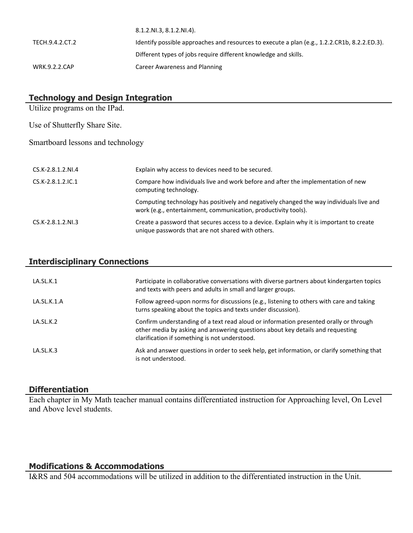|                      | $8.1.2 \text{ N}$ $1.3, 8.1.2 \text{ N}$ $1.4$ $1.4$                                         |
|----------------------|----------------------------------------------------------------------------------------------|
| TECH.9.4.2.CT.2      | Identify possible approaches and resources to execute a plan (e.g., 1.2.2.CR1b, 8.2.2.ED.3). |
|                      | Different types of jobs require different knowledge and skills.                              |
| <b>WRK.9.2.2.CAP</b> | Career Awareness and Planning                                                                |

#### **Technology and Design Integration**

Utilize programs on the IPad.

Use of Shutterfly Share Site.

Smartboard lessons and technology

| $CS.K-2.8.1.2.NI.4$ | Explain why access to devices need to be secured.                                                                                                         |
|---------------------|-----------------------------------------------------------------------------------------------------------------------------------------------------------|
| $CS.K-2.8.1.2.1C.1$ | Compare how individuals live and work before and after the implementation of new<br>computing technology.                                                 |
|                     | Computing technology has positively and negatively changed the way individuals live and<br>work (e.g., entertainment, communication, productivity tools). |
| $CS.K-2.8.1.2.NI.3$ | Create a password that secures access to a device. Explain why it is important to create<br>unique passwords that are not shared with others.             |

#### **Interdisciplinary Connections**

| LA.SL.K.1   | Participate in collaborative conversations with diverse partners about kindergarten topics<br>and texts with peers and adults in small and larger groups.                                                                |
|-------------|--------------------------------------------------------------------------------------------------------------------------------------------------------------------------------------------------------------------------|
| LA.SL.K.1.A | Follow agreed-upon norms for discussions (e.g., listening to others with care and taking<br>turns speaking about the topics and texts under discussion).                                                                 |
| LA.SL.K.2   | Confirm understanding of a text read aloud or information presented orally or through<br>other media by asking and answering questions about key details and requesting<br>clarification if something is not understood. |
| LA.SL.K.3   | Ask and answer questions in order to seek help, get information, or clarify something that<br>is not understood.                                                                                                         |

#### **Differentiation**

Each chapter in My Math teacher manual contains differentiated instruction for Approaching level, On Level and Above level students.

#### **Modifications & Accommodations**

I&RS and 504 accommodations will be utilized in addition to the differentiated instruction in the Unit.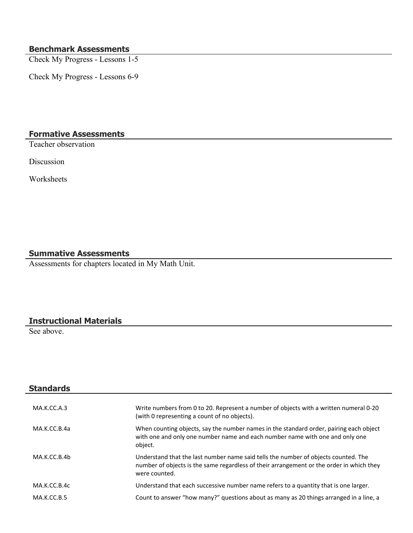#### **Benchmark Assessments**

Check My Progress - Lessons 1-5

Check My Progress - Lessons 6-9

#### **Formative Assessments**

Teacher observation

Discussion

Worksheets

#### **Summative Assessments**

Assessments for chapters located in My Math Unit.

### **Instructional Materials**

See above.

| <b>Standards</b> |                                                                                                                                                                                                 |
|------------------|-------------------------------------------------------------------------------------------------------------------------------------------------------------------------------------------------|
| MA.K.CC.A.3      | Write numbers from 0 to 20. Represent a number of objects with a written numeral 0-20<br>(with 0 representing a count of no objects).                                                           |
| MA.K.CC.B.4a     | When counting objects, say the number names in the standard order, pairing each object<br>with one and only one number name and each number name with one and only one<br>object.               |
| MA.K.CC.B.4b     | Understand that the last number name said tells the number of objects counted. The<br>number of objects is the same regardless of their arrangement or the order in which they<br>were counted. |
| MA.K.CC.B.4c     | Understand that each successive number name refers to a quantity that is one larger.                                                                                                            |
| MA.K.CC.B.5      | Count to answer "how many?" questions about as many as 20 things arranged in a line, a                                                                                                          |